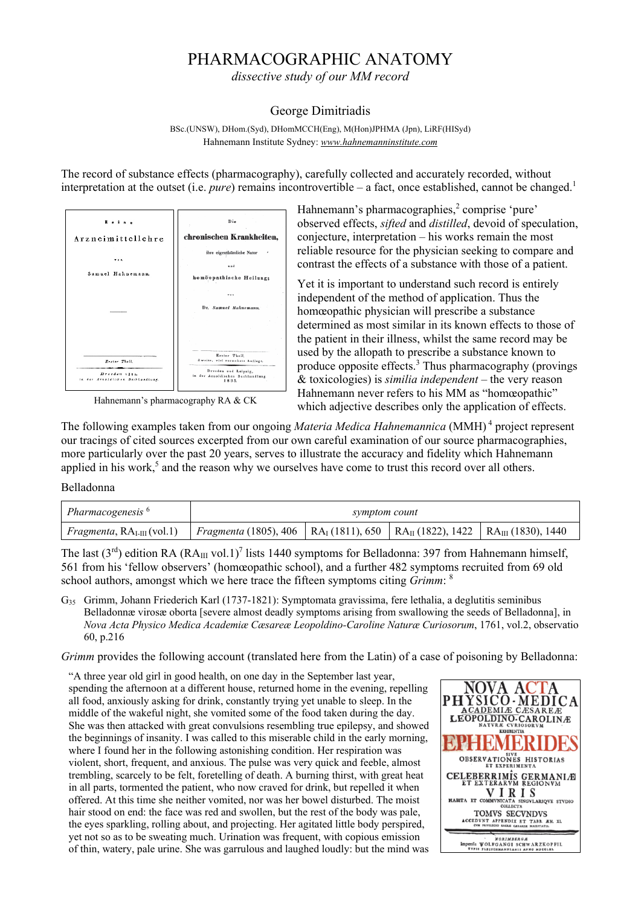# PHARMACOGRAPHIC ANATOMY

*dissective study of our MM record* 

## George Dimitriadis

BSc.(UNSW), DHom.(Syd), DHomMCCH(Eng), M(Hon)JPHMA (Jpn), LiRF(HISyd) Hahnemann Institute Sydney: *www.hahnemanninstitute.com*

The record of substance effects (pharmacography), carefully collected and accurately recorded, without interpretation at the outset (i.e. *pure*) remains incontrovertible – a fact, once established, cannot be changed.<sup>1</sup>



Hahnemann's pharmacography RA & CK

Hahnemann's pharmacographies,<sup>2</sup> comprise 'pure' observed effects, *sifted* and *distilled*, devoid of speculation, conjecture, interpretation – his works remain the most reliable resource for the physician seeking to compare and contrast the effects of a substance with those of a patient.

Yet it is important to understand such record is entirely independent of the method of application. Thus the homœopathic physician will prescribe a substance determined as most similar in its known effects to those of the patient in their illness, whilst the same record may be used by the allopath to prescribe a substance known to produce opposite effects.<sup>3</sup> Thus pharmacography (provings & toxicologies) is *similia independent* – the very reason Hahnemann never refers to his MM as "homœopathic" which adjective describes only the application of effects.

The following examples taken from our ongoing *Materia Medica Hahnemannica* (MMH) 4 project represent our tracings of cited sources excerpted from our own careful examination of our source pharmacographies, more particularly over the past 20 years, serves to illustrate the accuracy and fidelity which Hahnemann applied in his work,<sup>5</sup> and the reason why we ourselves have come to trust this record over all others.

## Belladonna

| Pharmacogenesis <sup>6</sup>        | symptom count                                                                                                               |  |  |  |
|-------------------------------------|-----------------------------------------------------------------------------------------------------------------------------|--|--|--|
| <i>Fragmenta</i> , $RAI-III(vol.1)$ | <i>Fragmenta</i> (1805), 406   RA <sub>I</sub> (1811), 650   RA <sub>II</sub> (1822), 1422   RA <sub>III</sub> (1830), 1440 |  |  |  |

The last ( $3<sup>rd</sup>$ ) edition RA (RA<sub>III</sub> vol.1)<sup>7</sup> lists 1440 symptoms for Belladonna: 397 from Hahnemann himself, 561 from his 'fellow observers' (homœopathic school), and a further 482 symptoms recruited from 69 old school authors, amongst which we here trace the fifteen symptoms citing *Grimm*: <sup>8</sup>

G35 Grimm, Johann Friederich Karl (1737-1821): Symptomata gravissima, fere lethalia, a deglutitis seminibus Belladonnæ virosæ oborta [severe almost deadly symptoms arising from swallowing the seeds of Belladonna], in *Nova Acta Physico Medica Academiæ Cæsareæ Leopoldino-Caroline Naturæ Curiosorum*, 1761, vol.2, observatio 60, p.216

*Grimm* provides the following account (translated here from the Latin) of a case of poisoning by Belladonna:

"A three year old girl in good health, on one day in the September last year, spending the afternoon at a different house, returned home in the evening, repelling all food, anxiously asking for drink, constantly trying yet unable to sleep. In the middle of the wakeful night, she vomited some of the food taken during the day. She was then attacked with great convulsions resembling true epilepsy, and showed the beginnings of insanity. I was called to this miserable child in the early morning, where I found her in the following astonishing condition. Her respiration was violent, short, frequent, and anxious. The pulse was very quick and feeble, almost trembling, scarcely to be felt, foretelling of death. A burning thirst, with great heat in all parts, tormented the patient, who now craved for drink, but repelled it when offered. At this time she neither vomited, nor was her bowel disturbed. The moist hair stood on end: the face was red and swollen, but the rest of the body was pale, the eyes sparkling, rolling about, and projecting. Her agitated little body perspired, yet not so as to be sweating much. Urination was frequent, with copious emission of thin, watery, pale urine. She was garrulous and laughed loudly: but the mind was

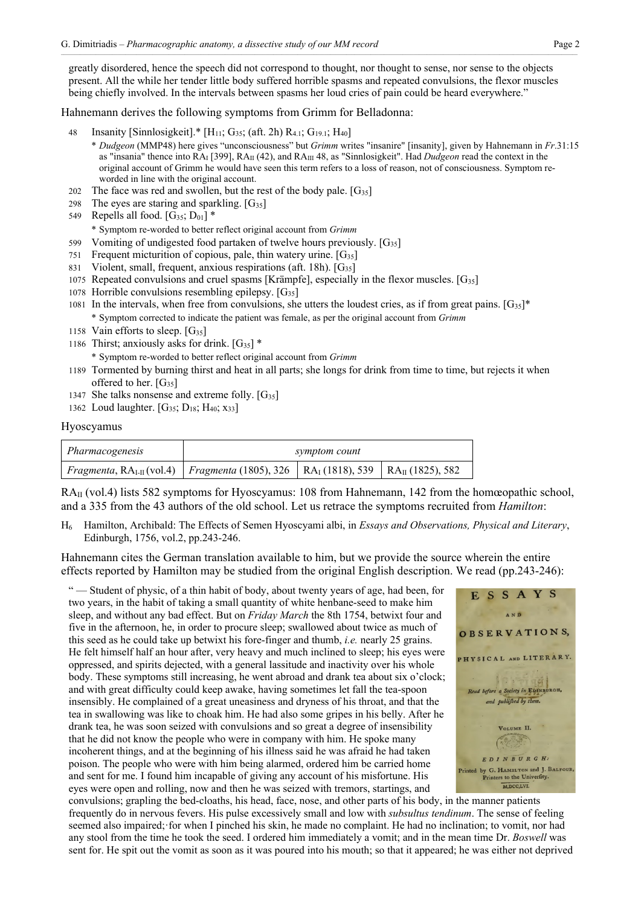greatly disordered, hence the speech did not correspond to thought, nor thought to sense, nor sense to the objects present. All the while her tender little body suffered horrible spasms and repeated convulsions, the flexor muscles being chiefly involved. In the intervals between spasms her loud cries of pain could be heard everywhere."

Hahnemann derives the following symptoms from Grimm for Belladonna:

- Insanity [Sinnlosigkeit].\*  $[H_{11}; G_{35}; (aff. 2h) R_{4.1}; G_{19.1}; H_{40}]$ 
	- \* *Dudgeon* (MMP48) here gives "unconsciousness" but *Grimm* writes "insanire" [insanity], given by Hahnemann in *Fr*.31:15 as "insania" thence into RAI [399], RAII (42), and RAIII 48, as "Sinnlosigkeit". Had *Dudgeon* read the context in the original account of Grimm he would have seen this term refers to a loss of reason, not of consciousness. Symptom reworded in line with the original account.
- 202 The face was red and swollen, but the rest of the body pale.  $[G_{35}]$
- 298 The eyes are staring and sparkling.  $[G_{35}]$
- 549 Repells all food.  $[G_{35}; D_{01}]$  \*

\* Symptom re-worded to better reflect original account from *Grimm*

- 599 Vomiting of undigested food partaken of twelve hours previously.  $[G_{35}]$
- 751 Frequent micturition of copious, pale, thin watery urine.  $[G_{35}]$
- 831 Violent, small, frequent, anxious respirations (aft. 18h).  $[G_{35}]$
- 1075 Repeated convulsions and cruel spasms [Krämpfe], especially in the flexor muscles. [G35]
- 1078 Horrible convulsions resembling epilepsy.  $[G_{35}]$
- 1081 In the intervals, when free from convulsions, she utters the loudest cries, as if from great pains.  $[G_3]^{*}$ \* Symptom corrected to indicate the patient was female, as per the original account from *Grimm*
- 1158 Vain efforts to sleep.  $[G_{35}]$
- 1186 Thirst; anxiously asks for drink.  $[G_{35}]$  \*
	- \* Symptom re-worded to better reflect original account from *Grimm*
- 1189 Tormented by burning thirst and heat in all parts; she longs for drink from time to time, but rejects it when offered to her.  $[G_{35}]$
- 1347 She talks nonsense and extreme folly.  $[G_{35}]$
- 1362 Loud laughter. [G<sub>35</sub>; D<sub>18</sub>; H<sub>40</sub>; x<sub>33</sub>]

#### Hyoscyamus

| Pharmacogenesis                                                                                                                         | symptom count |  |  |
|-----------------------------------------------------------------------------------------------------------------------------------------|---------------|--|--|
| <i>Fragmenta</i> , RA <sub>I-II</sub> (vol.4) <i>Fragmenta</i> (1805), 326   RA <sub>I</sub> (1818), 539   RA <sub>II</sub> (1825), 582 |               |  |  |

RA<sub>II</sub> (vol.4) lists 582 symptoms for Hyoscyamus: 108 from Hahnemann, 142 from the homœopathic school, and a 335 from the 43 authors of the old school. Let us retrace the symptoms recruited from *Hamilton*:

H6 Hamilton, Archibald: The Effects of Semen Hyoscyami albi, in *Essays and Observations, Physical and Literary*, Edinburgh, 1756, vol.2, pp.243-246.

Hahnemann cites the German translation available to him, but we provide the source wherein the entire effects reported by Hamilton may be studied from the original English description. We read (pp.243-246):

"-Student of physic, of a thin habit of body, about twenty years of age, had been, for two years, in the habit of taking a small quantity of white henbane-seed to make him sleep, and without any bad effect. But on *Friday March* the 8th 1754, betwixt four and five in the afternoon, he, in order to procure sleep; swallowed about twice as much of this seed as he could take up betwixt his fore-finger and thumb, *i.e.* nearly 25 grains. He felt himself half an hour after, very heavy and much inclined to sleep; his eyes were oppressed, and spirits dejected, with a general lassitude and inactivity over his whole body. These symptoms still increasing, he went abroad and drank tea about six o'clock; and with great difficulty could keep awake, having sometimes let fall the tea-spoon insensibly. He complained of a great uneasiness and dryness of his throat, and that the tea in swallowing was like to choak him. He had also some gripes in his belly. After he drank tea, he was soon seized with convulsions and so great a degree of insensibility that he did not know the people who were in company with him. He spoke many incoherent things, and at the beginning of his illness said he was afraid he had taken poison. The people who were with him being alarmed, ordered him be carried home and sent for me. I found him incapable of giving any account of his misfortune. His eyes were open and rolling, now and then he was seized with tremors, startings, and



convulsions; grapling the bed-cloaths, his head, face, nose, and other parts of his body, in the manner patients frequently do in nervous fevers. His pulse excessively small and low with *subsultus tendinum*. The sense of feeling seemed also impaired; for when I pinched his skin, he made no complaint. He had no inclination; to vomit, nor had any stool from the time he took the seed. I ordered him immediately a vomit; and in the mean time Dr. *Boswell* was sent for. He spit out the vomit as soon as it was poured into his mouth; so that it appeared; he was either not deprived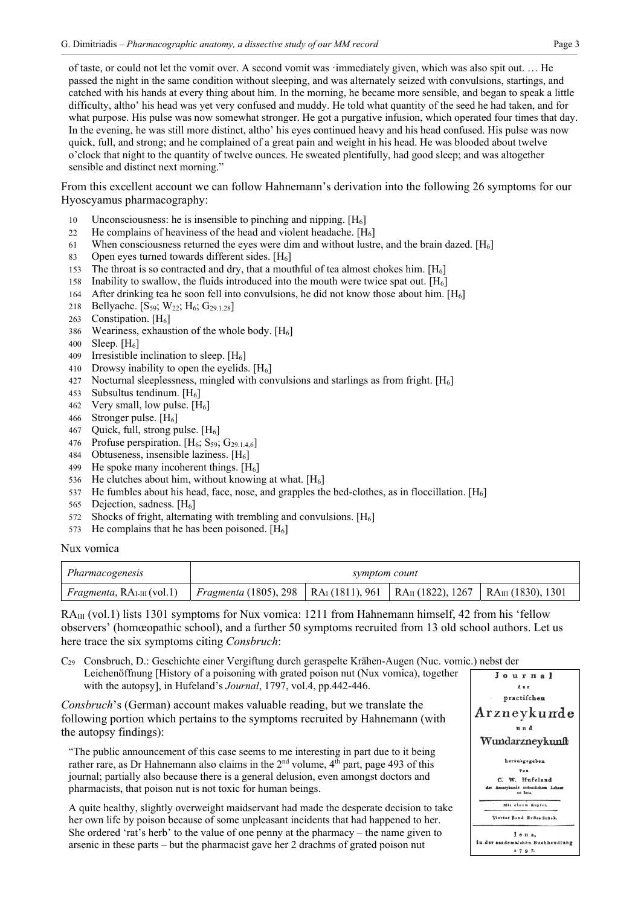of taste, or could not let the vomit over. A second vomit was ꞏimmediately given, which was also spit out. … He passed the night in the same condition without sleeping, and was alternately seized with convulsions, startings, and catched with his hands at every thing about him. In the morning, he became more sensible, and began to speak a little difficulty, altho' his head was yet very confused and muddy. He told what quantity of the seed he had taken, and for what purpose. His pulse was now somewhat stronger. He got a purgative infusion, which operated four times that day. In the evening, he was still more distinct, altho' his eyes continued heavy and his head confused. His pulse was now quick, full, and strong; and he complained of a great pain and weight in his head. He was blooded about twelve o'clock that night to the quantity of twelve ounces. He sweated plentifully, had good sleep; and was altogether sensible and distinct next morning."

From this excellent account we can follow Hahnemann's derivation into the following 26 symptoms for our Hyoscyamus pharmacography:

- 10 Unconsciousness: he is insensible to pinching and nipping.  $[H_6]$
- 22 He complains of heaviness of the head and violent headache.  $[H<sub>6</sub>]$
- 61 When consciousness returned the eyes were dim and without lustre, and the brain dazed.  $[H_6]$
- 83 Open eyes turned towards different sides.  $[H_6]$
- 153 The throat is so contracted and dry, that a mouthful of tea almost chokes him.  $[H<sub>6</sub>]$
- 158 Inability to swallow, the fluids introduced into the mouth were twice spat out.  $[H_6]$
- 164 After drinking tea he soon fell into convulsions, he did not know those about him. [H6]
- 218 Bellyache. [S<sub>59</sub>; W<sub>22</sub>; H<sub>6</sub>; G<sub>29.1.28</sub>]
- 263 Constipation.  $[H_6]$
- 386 Weariness, exhaustion of the whole body.  $[H_6]$
- 400 Sleep.  $[H_6]$
- 409 Irresistible inclination to sleep.  $[H_6]$
- 410 Drowsy inability to open the eyelids.  $[H_6]$
- 427 Nocturnal sleeplessness, mingled with convulsions and starlings as from fright.  $[H_6]$
- 453 Subsultus tendinum.  $[H_6]$
- 462 Very small, low pulse.  $[H_6]$
- 466 Stronger pulse. [H<sub>6</sub>]
- 467 Quick, full, strong pulse.  $[H_6]$
- 476 Profuse perspiration.  $[H_6; S_{59}; G_{29,1.4.6}]$
- 484 Obtuseness, insensible laziness.  $[H<sub>6</sub>]$
- 499 He spoke many incoherent things.  $[H_6]$
- 536 He clutches about him, without knowing at what.  $[H_6]$
- 537 He fumbles about his head, face, nose, and grapples the bed-clothes, as in floccillation.  $[H_6]$
- 565 Dejection, sadness. [H6]
- 572 Shocks of fright, alternating with trembling and convulsions.  $[H<sub>6</sub>]$
- 573 He complains that he has been poisoned.  $[H_6]$

#### Nux vomica

| Pharmacogenesis                                                                                                                                               | symptom count |  |  |  |
|---------------------------------------------------------------------------------------------------------------------------------------------------------------|---------------|--|--|--|
| Fragmenta, RA <sub>I-III</sub> (vol.1)   Fragmenta (1805), 298   RA <sub>I</sub> (1811), 961   RA <sub>II</sub> (1822), 1267   RA <sub>III</sub> (1830), 1301 |               |  |  |  |

 $RA_{III}$  (vol.1) lists 1301 symptoms for Nux vomica: 1211 from Hahnemann himself, 42 from his 'fellow observers' (homœopathic school), and a further 50 symptoms recruited from 13 old school authors. Let us here trace the six symptoms citing *Consbruch*:

C29 Consbruch, D.: Geschichte einer Vergiftung durch geraspelte Krähen-Augen (Nuc. vomic.) nebst der Leichenöffnung [History of a poisoning with grated poison nut (Nux vomica), together with the autopsy], in Hufeland's *Journal*, 1797, vol.4, pp.442-446.

*Consbruch*'s (German) account makes valuable reading, but we translate the following portion which pertains to the symptoms recruited by Hahnemann (with the autopsy findings):

"The public announcement of this case seems to me interesting in part due to it being rather rare, as Dr Hahnemann also claims in the  $2<sup>nd</sup>$  volume,  $4<sup>th</sup>$  part, page 493 of this journal; partially also because there is a general delusion, even amongst doctors and pharmacists, that poison nut is not toxic for human beings.

A quite healthy, slightly overweight maidservant had made the desperate decision to take her own life by poison because of some unpleasant incidents that had happened to her. She ordered 'rat's herb' to the value of one penny at the pharmacy – the name given to arsenic in these parts – but the pharmacist gave her 2 drachms of grated poison nut

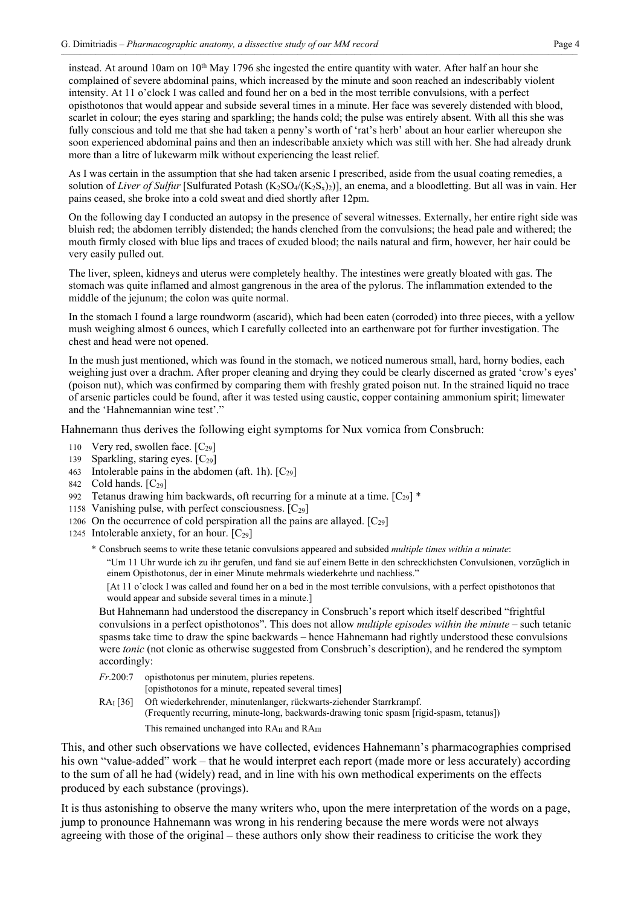instead. At around 10am on  $10<sup>th</sup>$  May 1796 she ingested the entire quantity with water. After half an hour she complained of severe abdominal pains, which increased by the minute and soon reached an indescribably violent intensity. At 11 o'clock I was called and found her on a bed in the most terrible convulsions, with a perfect opisthotonos that would appear and subside several times in a minute. Her face was severely distended with blood, scarlet in colour; the eyes staring and sparkling; the hands cold; the pulse was entirely absent. With all this she was fully conscious and told me that she had taken a penny's worth of 'rat's herb' about an hour earlier whereupon she soon experienced abdominal pains and then an indescribable anxiety which was still with her. She had already drunk more than a litre of lukewarm milk without experiencing the least relief.

As I was certain in the assumption that she had taken arsenic I prescribed, aside from the usual coating remedies, a solution of *Liver of Sulfur* [Sulfurated Potash (K<sub>2</sub>SO<sub>4</sub>/(K<sub>2</sub>S<sub>x</sub>)<sub>2</sub>)], an enema, and a bloodletting. But all was in vain. Her pains ceased, she broke into a cold sweat and died shortly after 12pm.

On the following day I conducted an autopsy in the presence of several witnesses. Externally, her entire right side was bluish red; the abdomen terribly distended; the hands clenched from the convulsions; the head pale and withered; the mouth firmly closed with blue lips and traces of exuded blood; the nails natural and firm, however, her hair could be very easily pulled out.

The liver, spleen, kidneys and uterus were completely healthy. The intestines were greatly bloated with gas. The stomach was quite inflamed and almost gangrenous in the area of the pylorus. The inflammation extended to the middle of the jejunum; the colon was quite normal.

In the stomach I found a large roundworm (ascarid), which had been eaten (corroded) into three pieces, with a yellow mush weighing almost 6 ounces, which I carefully collected into an earthenware pot for further investigation. The chest and head were not opened.

In the mush just mentioned, which was found in the stomach, we noticed numerous small, hard, horny bodies, each weighing just over a drachm. After proper cleaning and drying they could be clearly discerned as grated 'crow's eyes' (poison nut), which was confirmed by comparing them with freshly grated poison nut. In the strained liquid no trace of arsenic particles could be found, after it was tested using caustic, copper containing ammonium spirit; limewater and the 'Hahnemannian wine test'."

Hahnemann thus derives the following eight symptoms for Nux vomica from Consbruch:

- 110 Very red, swollen face.  $[C_{29}]$
- 139 Sparkling, staring eyes.  $[C_{29}]$
- 463 Intolerable pains in the abdomen (aft. 1h).  $[C_{29}]$
- 842 Cold hands.  $[C_{29}]$
- 992 Tetanus drawing him backwards, oft recurring for a minute at a time.  $[C_{29}]$  \*
- 1158 Vanishing pulse, with perfect consciousness.  $[C_{29}]$
- 1206 On the occurrence of cold perspiration all the pains are allayed.  $[C_{29}]$
- 1245 Intolerable anxiety, for an hour.  $[C_{29}]$ 
	- \* Consbruch seems to write these tetanic convulsions appeared and subsided *multiple times within a minute*:

"Um 11 Uhr wurde ich zu ihr gerufen, und fand sie auf einem Bette in den schrecklichsten Convulsionen, vorzüglich in einem Opisthotonus, der in einer Minute mehrmals wiederkehrte und nachliess."

[At 11 o'clock I was called and found her on a bed in the most terrible convulsions, with a perfect opisthotonos that would appear and subside several times in a minute.]

But Hahnemann had understood the discrepancy in Consbruch's report which itself described "frightful convulsions in a perfect opisthotonos". This does not allow *multiple episodes within the minute* – such tetanic spasms take time to draw the spine backwards – hence Hahnemann had rightly understood these convulsions were *tonic* (not clonic as otherwise suggested from Consbruch's description), and he rendered the symptom accordingly:

- *Fr*.200:7 opisthotonus per minutem, pluries repetens. [opisthotonos for a minute, repeated several times]
- RAI [36] Oft wiederkehrender, minutenlanger, rückwarts-ziehender Starrkrampf. (Frequently recurring, minute-long, backwards-drawing tonic spasm [rigid-spasm, tetanus]) This remained unchanged into RA<sub>II</sub> and RA<sub>III</sub>

This, and other such observations we have collected, evidences Hahnemann's pharmacographies comprised his own "value-added" work – that he would interpret each report (made more or less accurately) according to the sum of all he had (widely) read, and in line with his own methodical experiments on the effects produced by each substance (provings).

It is thus astonishing to observe the many writers who, upon the mere interpretation of the words on a page, jump to pronounce Hahnemann was wrong in his rendering because the mere words were not always agreeing with those of the original – these authors only show their readiness to criticise the work they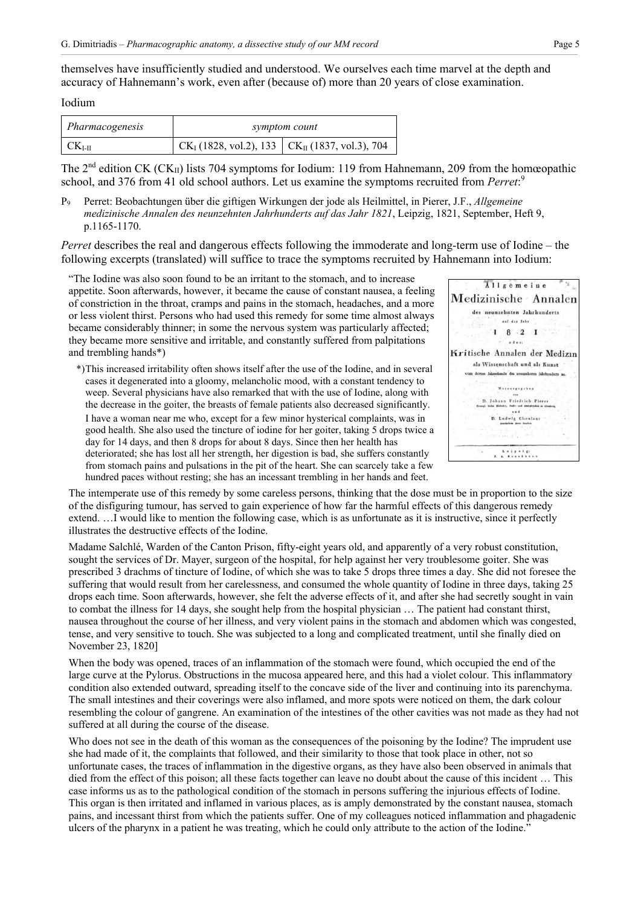themselves have insufficiently studied and understood. We ourselves each time marvel at the depth and accuracy of Hahnemann's work, even after (because of) more than 20 years of close examination.

#### Iodium

| Pharmacogenesis  | symptom count                                                                          |  |
|------------------|----------------------------------------------------------------------------------------|--|
| CK <sub>LI</sub> | $\vert$ CK <sub>I</sub> (1828, vol.2), 133 $\vert$ CK <sub>II</sub> (1837, vol.3), 704 |  |

The  $2^{nd}$  edition CK (CK<sub>II</sub>) lists 704 symptoms for Iodium: 119 from Hahnemann, 209 from the homœopathic school, and 376 from 41 old school authors. Let us examine the symptoms recruited from *Perret*: 9

P9 Perret: Beobachtungen über die giftigen Wirkungen der jode als Heilmittel, in Pierer, J.F., *Allgemeine medizinische Annalen des neunzehnten Jahrhunderts auf das Jahr 1821*, Leipzig, 1821, September, Heft 9, p.1165-1170.

*Perret* describes the real and dangerous effects following the immoderate and long-term use of Iodine – the following excerpts (translated) will suffice to trace the symptoms recruited by Hahnemann into Iodium:

"The Iodine was also soon found to be an irritant to the stomach, and to increase appetite. Soon afterwards, however, it became the cause of constant nausea, a feeling of constriction in the throat, cramps and pains in the stomach, headaches, and a more or less violent thirst. Persons who had used this remedy for some time almost always became considerably thinner; in some the nervous system was particularly affected; they became more sensitive and irritable, and constantly suffered from palpitations and trembling hands\*)

| Allgemeine                                                                                  |
|---------------------------------------------------------------------------------------------|
| Medizinische Annalen                                                                        |
| neunzehnten Jahrhunderts<br>des                                                             |
| auf das Jahr                                                                                |
| $8 \cdot 2 \cdot 1$                                                                         |
| oderi                                                                                       |
| Kritische Annalen der Medizin                                                               |
| als Wissenschaft und als Kunst                                                              |
| vom dritten Jahrzehende des neunzehnten Jahrhunderts an.                                    |
| usgegeber                                                                                   |
| D. Johann Friedrich Pierer<br>Hersagl, Sichs, Holnsbe, Stadt- und Amtsplysikus in Abrahora. |
| D. Ludwig Choulant<br>. practichem Arezo daudbat                                            |
|                                                                                             |
|                                                                                             |
| . <b>.</b> 1                                                                                |
|                                                                                             |

\*) This increased irritability often shows itself after the use of the Iodine, and in several cases it degenerated into a gloomy, melancholic mood, with a constant tendency to weep. Several physicians have also remarked that with the use of Iodine, along with the decrease in the goiter, the breasts of female patients also decreased significantly. I have a woman near me who, except for a few minor hysterical complaints, was in good health. She also used the tincture of iodine for her goiter, taking 5 drops twice a day for 14 days, and then 8 drops for about 8 days. Since then her health has deteriorated; she has lost all her strength, her digestion is bad, she suffers constantly from stomach pains and pulsations in the pit of the heart. She can scarcely take a few hundred paces without resting; she has an incessant trembling in her hands and feet.

The intemperate use of this remedy by some careless persons, thinking that the dose must be in proportion to the size of the disfiguring tumour, has served to gain experience of how far the harmful effects of this dangerous remedy extend. …I would like to mention the following case, which is as unfortunate as it is instructive, since it perfectly illustrates the destructive effects of the Iodine.

Madame Salchlé, Warden of the Canton Prison, fifty-eight years old, and apparently of a very robust constitution, sought the services of Dr. Mayer, surgeon of the hospital, for help against her very troublesome goiter. She was prescribed 3 drachms of tincture of Iodine, of which she was to take 5 drops three times a day. She did not foresee the suffering that would result from her carelessness, and consumed the whole quantity of Iodine in three days, taking 25 drops each time. Soon afterwards, however, she felt the adverse effects of it, and after she had secretly sought in vain to combat the illness for 14 days, she sought help from the hospital physician … The patient had constant thirst, nausea throughout the course of her illness, and very violent pains in the stomach and abdomen which was congested, tense, and very sensitive to touch. She was subjected to a long and complicated treatment, until she finally died on November 23, 1820]

When the body was opened, traces of an inflammation of the stomach were found, which occupied the end of the large curve at the Pylorus. Obstructions in the mucosa appeared here, and this had a violet colour. This inflammatory condition also extended outward, spreading itself to the concave side of the liver and continuing into its parenchyma. The small intestines and their coverings were also inflamed, and more spots were noticed on them, the dark colour resembling the colour of gangrene. An examination of the intestines of the other cavities was not made as they had not suffered at all during the course of the disease.

Who does not see in the death of this woman as the consequences of the poisoning by the Iodine? The imprudent use she had made of it, the complaints that followed, and their similarity to those that took place in other, not so unfortunate cases, the traces of inflammation in the digestive organs, as they have also been observed in animals that died from the effect of this poison; all these facts together can leave no doubt about the cause of this incident … This case informs us as to the pathological condition of the stomach in persons suffering the injurious effects of Iodine. This organ is then irritated and inflamed in various places, as is amply demonstrated by the constant nausea, stomach pains, and incessant thirst from which the patients suffer. One of my colleagues noticed inflammation and phagadenic ulcers of the pharynx in a patient he was treating, which he could only attribute to the action of the Iodine."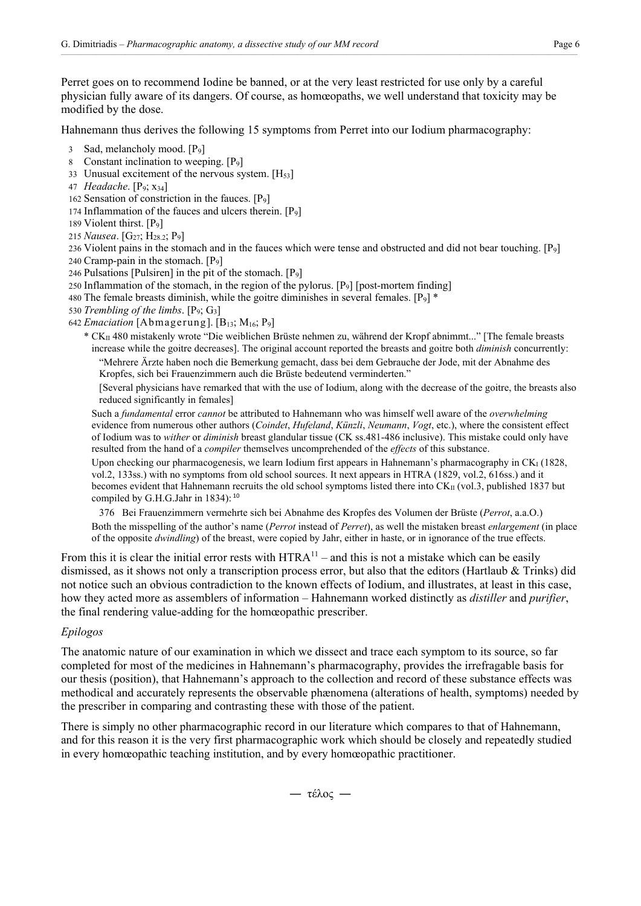Perret goes on to recommend Iodine be banned, or at the very least restricted for use only by a careful physician fully aware of its dangers. Of course, as homœopaths, we well understand that toxicity may be modified by the dose.

Hahnemann thus derives the following 15 symptoms from Perret into our Iodium pharmacography:

- 3 Sad, melancholy mood. [P9]
- 8 Constant inclination to weeping.  $[P_9]$
- 33 Unusual excitement of the nervous system.  $[H_{53}]$
- 47 *Headache*. [P9; x34]
- 162 Sensation of constriction in the fauces.  $[P_9]$
- 174 Inflammation of the fauces and ulcers therein.  $[P_9]$
- 189 Violent thirst. [P9]
- 215 *Nausea*. [G27; H28.2; P9]

236 Violent pains in the stomach and in the fauces which were tense and obstructed and did not bear touching. [P9] 240 Cramp-pain in the stomach.  $[P_9]$ 

- 246 Pulsations [Pulsiren] in the pit of the stomach.  $[P_9]$
- 250 Inflammation of the stomach, in the region of the pylorus.  $[P_9]$  [post-mortem finding]
- 480 The female breasts diminish, while the goitre diminishes in several females.  $[P_9]$ <sup>\*</sup>
- 530 *Trembling of the limbs*. [P9; G3]
- 642 *Emaciation* [Abmagerung]. [ $B_{13}$ ;  $M_{16}$ ;  $P_9$ ]
	- \* CKII 480 mistakenly wrote "Die weiblichen Brüste nehmen zu, während der Kropf abnimmt..." [The female breasts increase while the goitre decreases]. The original account reported the breasts and goitre both *diminish* concurrently: "Mehrere Ärzte haben noch die Bemerkung gemacht, dass bei dem Gebrauche der Jode, mit der Abnahme des Kropfes, sich bei Frauenzimmern auch die Brüste bedeutend verminderten."

[Several physicians have remarked that with the use of Iodium, along with the decrease of the goitre, the breasts also reduced significantly in females]

Such a *fundamental* error *cannot* be attributed to Hahnemann who was himself well aware of the *overwhelming* evidence from numerous other authors (*Coindet*, *Hufeland*, *Künzli*, *Neumann*, *Vogt*, etc.), where the consistent effect of Iodium was to *wither* or *diminish* breast glandular tissue (CK ss.481-486 inclusive). This mistake could only have resulted from the hand of a *compiler* themselves uncomprehended of the *effects* of this substance.

Upon checking our pharmacogenesis, we learn Iodium first appears in Hahnemann's pharmacography in CK<sub>I</sub> (1828, vol.2, 133ss.) with no symptoms from old school sources. It next appears in HTRA (1829, vol.2, 616ss.) and it becomes evident that Hahnemann recruits the old school symptoms listed there into CKII (vol.3, published 1837 but compiled by G.H.G.Jahr in  $1834$ ):  $10$ 

376 Bei Frauenzimmern vermehrte sich bei Abnahme des Kropfes des Volumen der Brüste (*Perrot*, a.a.O.) Both the misspelling of the author's name (*Perrot* instead of *Perret*), as well the mistaken breast *enlargement* (in place of the opposite *dwindling*) of the breast, were copied by Jahr, either in haste, or in ignorance of the true effects.

From this it is clear the initial error rests with  $HTRA<sup>11</sup>$  – and this is not a mistake which can be easily dismissed, as it shows not only a transcription process error, but also that the editors (Hartlaub & Trinks) did not notice such an obvious contradiction to the known effects of Iodium, and illustrates, at least in this case, how they acted more as assemblers of information – Hahnemann worked distinctly as *distiller* and *purifier*, the final rendering value-adding for the homœopathic prescriber.

## *Epilogos*

The anatomic nature of our examination in which we dissect and trace each symptom to its source, so far completed for most of the medicines in Hahnemann's pharmacography, provides the irrefragable basis for our thesis (position), that Hahnemann's approach to the collection and record of these substance effects was methodical and accurately represents the observable phænomena (alterations of health, symptoms) needed by the prescriber in comparing and contrasting these with those of the patient.

There is simply no other pharmacographic record in our literature which compares to that of Hahnemann, and for this reason it is the very first pharmacographic work which should be closely and repeatedly studied in every homœopathic teaching institution, and by every homœopathic practitioner.